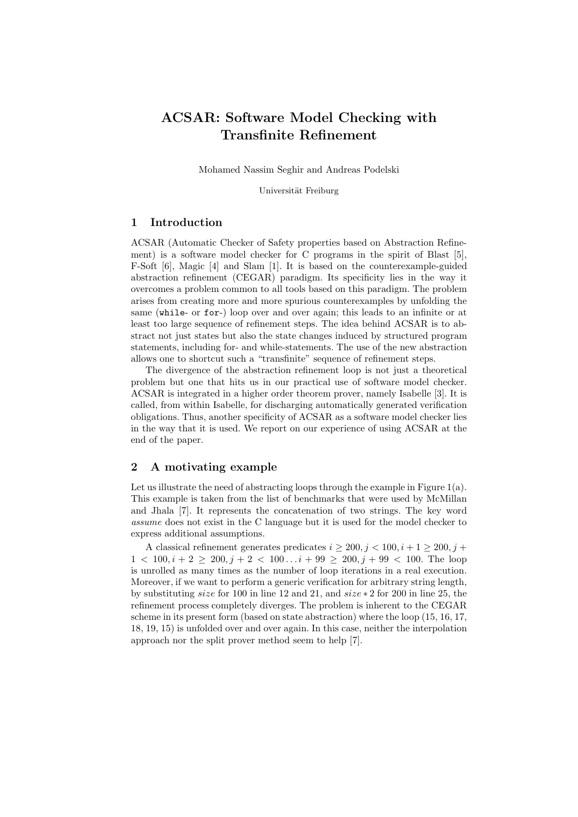# ACSAR: Software Model Checking with Transfinite Refinement

Mohamed Nassim Seghir and Andreas Podelski

Universität Freiburg

# 1 Introduction

ACSAR (Automatic Checker of Safety properties based on Abstraction Refinement) is a software model checker for C programs in the spirit of Blast [5], F-Soft [6], Magic [4] and Slam [1]. It is based on the counterexample-guided abstraction refinement (CEGAR) paradigm. Its specificity lies in the way it overcomes a problem common to all tools based on this paradigm. The problem arises from creating more and more spurious counterexamples by unfolding the same (while- or for-) loop over and over again; this leads to an infinite or at least too large sequence of refinement steps. The idea behind ACSAR is to abstract not just states but also the state changes induced by structured program statements, including for- and while-statements. The use of the new abstraction allows one to shortcut such a "transfinite" sequence of refinement steps.

The divergence of the abstraction refinement loop is not just a theoretical problem but one that hits us in our practical use of software model checker. ACSAR is integrated in a higher order theorem prover, namely Isabelle [3]. It is called, from within Isabelle, for discharging automatically generated verification obligations. Thus, another specificity of ACSAR as a software model checker lies in the way that it is used. We report on our experience of using ACSAR at the end of the paper.

# 2 A motivating example

Let us illustrate the need of abstracting loops through the example in Figure  $1(a)$ . This example is taken from the list of benchmarks that were used by McMillan and Jhala [7]. It represents the concatenation of two strings. The key word assume does not exist in the C language but it is used for the model checker to express additional assumptions.

A classical refinement generates predicates  $i > 200$ ,  $j < 100$ ,  $i + 1 > 200$ ,  $j +$  $1 < 100, i + 2 \ge 200, j + 2 < 100...i + 99 \ge 200, j + 99 < 100$ . The loop is unrolled as many times as the number of loop iterations in a real execution. Moreover, if we want to perform a generic verification for arbitrary string length, by substituting size for 100 in line 12 and 21, and  $size*2$  for 200 in line 25, the refinement process completely diverges. The problem is inherent to the CEGAR scheme in its present form (based on state abstraction) where the loop (15, 16, 17, 18, 19, 15) is unfolded over and over again. In this case, neither the interpolation approach nor the split prover method seem to help [7].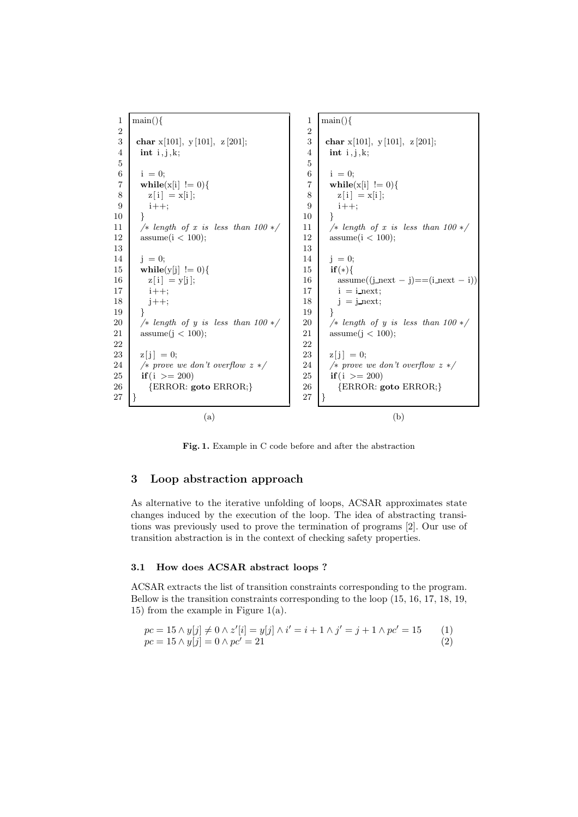

Fig. 1. Example in C code before and after the abstraction

## 3 Loop abstraction approach

As alternative to the iterative unfolding of loops, ACSAR approximates state changes induced by the execution of the loop. The idea of abstracting transitions was previously used to prove the termination of programs [2]. Our use of transition abstraction is in the context of checking safety properties.

# 3.1 How does ACSAR abstract loops ?

ACSAR extracts the list of transition constraints corresponding to the program. Bellow is the transition constraints corresponding to the loop (15, 16, 17, 18, 19, 15) from the example in Figure 1(a).

$$
pc = 15 \land y[j] \neq 0 \land z'[i] = y[j] \land i' = i + 1 \land j' = j + 1 \land pc' = 15
$$
  
\n
$$
pc = 15 \land y[j] = 0 \land pc' = 21
$$
\n(1)  
\n(2)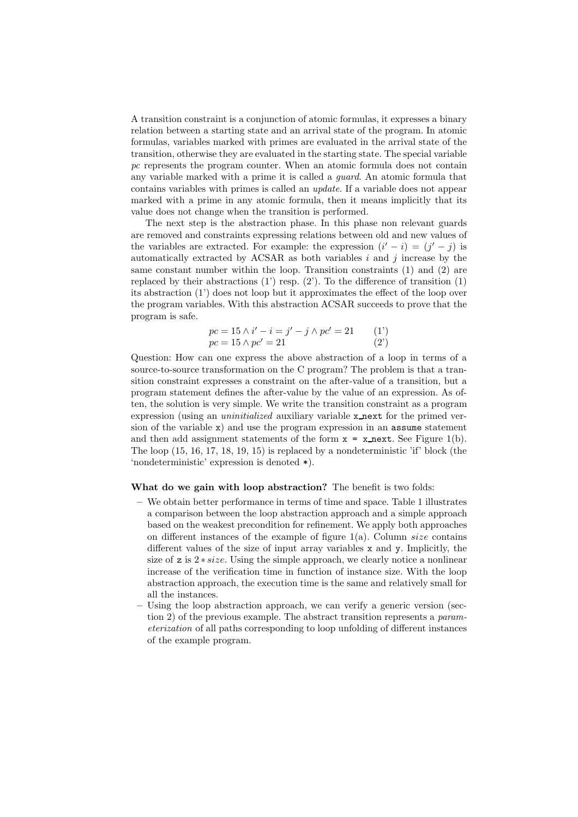A transition constraint is a conjunction of atomic formulas, it expresses a binary relation between a starting state and an arrival state of the program. In atomic formulas, variables marked with primes are evaluated in the arrival state of the transition, otherwise they are evaluated in the starting state. The special variable pc represents the program counter. When an atomic formula does not contain any variable marked with a prime it is called a guard. An atomic formula that contains variables with primes is called an update. If a variable does not appear marked with a prime in any atomic formula, then it means implicitly that its value does not change when the transition is performed.

The next step is the abstraction phase. In this phase non relevant guards are removed and constraints expressing relations between old and new values of the variables are extracted. For example: the expression  $(i' - i) = (j' - j)$  is automatically extracted by  $ACSAR$  as both variables i and j increase by the same constant number within the loop. Transition constraints (1) and (2) are replaced by their abstractions  $(1')$  resp.  $(2')$ . To the difference of transition  $(1)$ its abstraction (1') does not loop but it approximates the effect of the loop over the program variables. With this abstraction ACSAR succeeds to prove that the program is safe.

$$
pc = 15 \wedge i' - i = j' - j \wedge pc' = 21
$$
 (1')  
\n
$$
pc = 15 \wedge pc' = 21
$$
 (2')

Question: How can one express the above abstraction of a loop in terms of a source-to-source transformation on the C program? The problem is that a transition constraint expresses a constraint on the after-value of a transition, but a program statement defines the after-value by the value of an expression. As often, the solution is very simple. We write the transition constraint as a program expression (using an *uninitialized* auxiliary variable x next for the primed version of the variable  $x$ ) and use the program expression in an assume statement and then add assignment statements of the form  $x = x$  next. See Figure 1(b). The loop (15, 16, 17, 18, 19, 15) is replaced by a nondeterministic 'if' block (the 'nondeterministic' expression is denoted \*).

### What do we gain with loop abstraction? The benefit is two folds:

- We obtain better performance in terms of time and space. Table 1 illustrates a comparison between the loop abstraction approach and a simple approach based on the weakest precondition for refinement. We apply both approaches on different instances of the example of figure  $1(a)$ . Column size contains different values of the size of input array variables x and y. Implicitly, the size of z is 2 ∗ size. Using the simple approach, we clearly notice a nonlinear increase of the verification time in function of instance size. With the loop abstraction approach, the execution time is the same and relatively small for all the instances.
- Using the loop abstraction approach, we can verify a generic version (section 2) of the previous example. The abstract transition represents a parameterization of all paths corresponding to loop unfolding of different instances of the example program.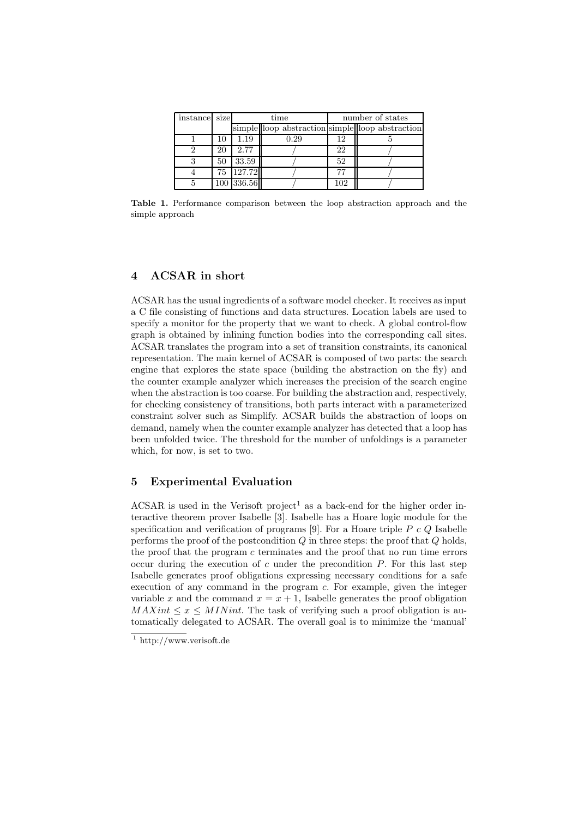| instance size |    | time        |                                                 | number of states |  |
|---------------|----|-------------|-------------------------------------------------|------------------|--|
|               |    |             | simple loop abstraction simple loop abstraction |                  |  |
|               | 10 | 1.19        | 0.29                                            | 12               |  |
|               | 20 | 2.77        |                                                 | 22               |  |
|               | 50 | 33.59       |                                                 | 52               |  |
|               |    | 75   127.72 |                                                 | 77               |  |
|               |    | 100 336.56  |                                                 | 102              |  |

Table 1. Performance comparison between the loop abstraction approach and the simple approach

# 4 ACSAR in short

ACSAR has the usual ingredients of a software model checker. It receives as input a C file consisting of functions and data structures. Location labels are used to specify a monitor for the property that we want to check. A global control-flow graph is obtained by inlining function bodies into the corresponding call sites. ACSAR translates the program into a set of transition constraints, its canonical representation. The main kernel of ACSAR is composed of two parts: the search engine that explores the state space (building the abstraction on the fly) and the counter example analyzer which increases the precision of the search engine when the abstraction is too coarse. For building the abstraction and, respectively, for checking consistency of transitions, both parts interact with a parameterized constraint solver such as Simplify. ACSAR builds the abstraction of loops on demand, namely when the counter example analyzer has detected that a loop has been unfolded twice. The threshold for the number of unfoldings is a parameter which, for now, is set to two.

# 5 Experimental Evaluation

 $ACSAR$  is used in the Verisoft project<sup>1</sup> as a back-end for the higher order interactive theorem prover Isabelle [3]. Isabelle has a Hoare logic module for the specification and verification of programs  $[9]$ . For a Hoare triple  $P \, c \, Q$  Isabelle performs the proof of the postcondition  $Q$  in three steps: the proof that  $Q$  holds, the proof that the program  $c$  terminates and the proof that no run time errors occur during the execution of  $c$  under the precondition  $P$ . For this last step Isabelle generates proof obligations expressing necessary conditions for a safe execution of any command in the program c. For example, given the integer variable x and the command  $x = x + 1$ , Isabelle generates the proof obligation  $MAXint \leq x \leq MINint$ . The task of verifying such a proof obligation is automatically delegated to ACSAR. The overall goal is to minimize the 'manual'

<sup>1</sup> http://www.verisoft.de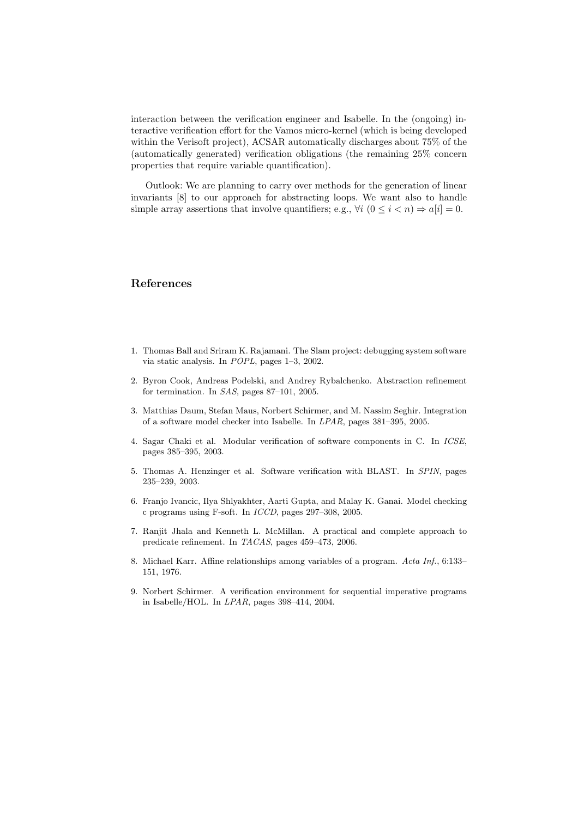interaction between the verification engineer and Isabelle. In the (ongoing) interactive verification effort for the Vamos micro-kernel (which is being developed within the Verisoft project), ACSAR automatically discharges about 75% of the (automatically generated) verification obligations (the remaining 25% concern properties that require variable quantification).

Outlook: We are planning to carry over methods for the generation of linear invariants [8] to our approach for abstracting loops. We want also to handle simple array assertions that involve quantifiers; e.g.,  $\forall i \ (0 \leq i \leq n) \Rightarrow a[i] = 0$ .

# References

- 1. Thomas Ball and Sriram K. Rajamani. The Slam project: debugging system software via static analysis. In POPL, pages 1–3, 2002.
- 2. Byron Cook, Andreas Podelski, and Andrey Rybalchenko. Abstraction refinement for termination. In SAS, pages 87–101, 2005.
- 3. Matthias Daum, Stefan Maus, Norbert Schirmer, and M. Nassim Seghir. Integration of a software model checker into Isabelle. In LPAR, pages 381–395, 2005.
- 4. Sagar Chaki et al. Modular verification of software components in C. In ICSE, pages 385–395, 2003.
- 5. Thomas A. Henzinger et al. Software verification with BLAST. In SPIN, pages 235–239, 2003.
- 6. Franjo Ivancic, Ilya Shlyakhter, Aarti Gupta, and Malay K. Ganai. Model checking c programs using F-soft. In ICCD, pages 297–308, 2005.
- 7. Ranjit Jhala and Kenneth L. McMillan. A practical and complete approach to predicate refinement. In TACAS, pages 459–473, 2006.
- 8. Michael Karr. Affine relationships among variables of a program. Acta Inf., 6:133– 151, 1976.
- 9. Norbert Schirmer. A verification environment for sequential imperative programs in Isabelle/HOL. In LPAR, pages 398–414, 2004.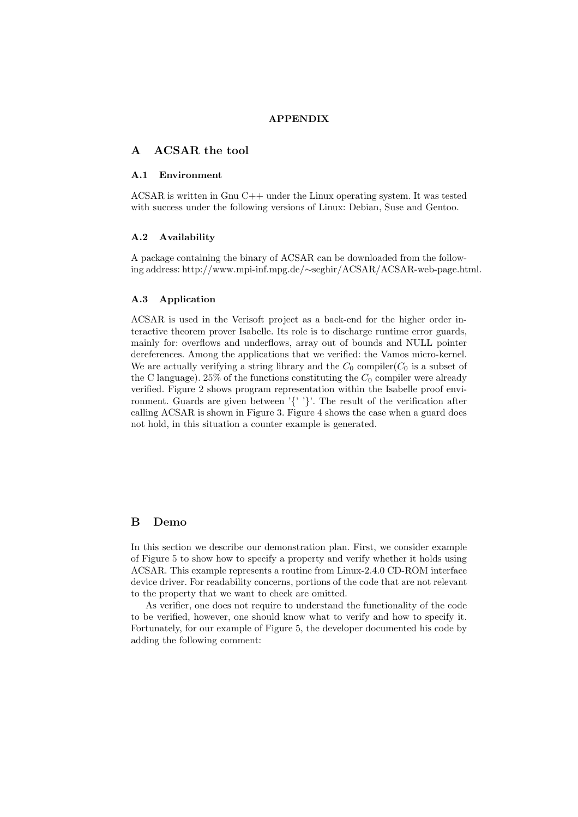#### APPENDIX

# A ACSAR the tool

## A.1 Environment

ACSAR is written in Gnu  $C++$  under the Linux operating system. It was tested with success under the following versions of Linux: Debian, Suse and Gentoo.

### A.2 Availability

A package containing the binary of ACSAR can be downloaded from the following address: http://www.mpi-inf.mpg.de/∼seghir/ACSAR/ACSAR-web-page.html.

### A.3 Application

ACSAR is used in the Verisoft project as a back-end for the higher order interactive theorem prover Isabelle. Its role is to discharge runtime error guards, mainly for: overflows and underflows, array out of bounds and NULL pointer dereferences. Among the applications that we verified: the Vamos micro-kernel. We are actually verifying a string library and the  $C_0$  compiler( $C_0$  is a subset of the C language). 25% of the functions constituting the  $C_0$  compiler were already verified. Figure 2 shows program representation within the Isabelle proof environment. Guards are given between  $\{ \}'$   $\}$ . The result of the verification after calling ACSAR is shown in Figure 3. Figure 4 shows the case when a guard does not hold, in this situation a counter example is generated.

# B Demo

In this section we describe our demonstration plan. First, we consider example of Figure 5 to show how to specify a property and verify whether it holds using ACSAR. This example represents a routine from Linux-2.4.0 CD-ROM interface device driver. For readability concerns, portions of the code that are not relevant to the property that we want to check are omitted.

As verifier, one does not require to understand the functionality of the code to be verified, however, one should know what to verify and how to specify it. Fortunately, for our example of Figure 5, the developer documented his code by adding the following comment: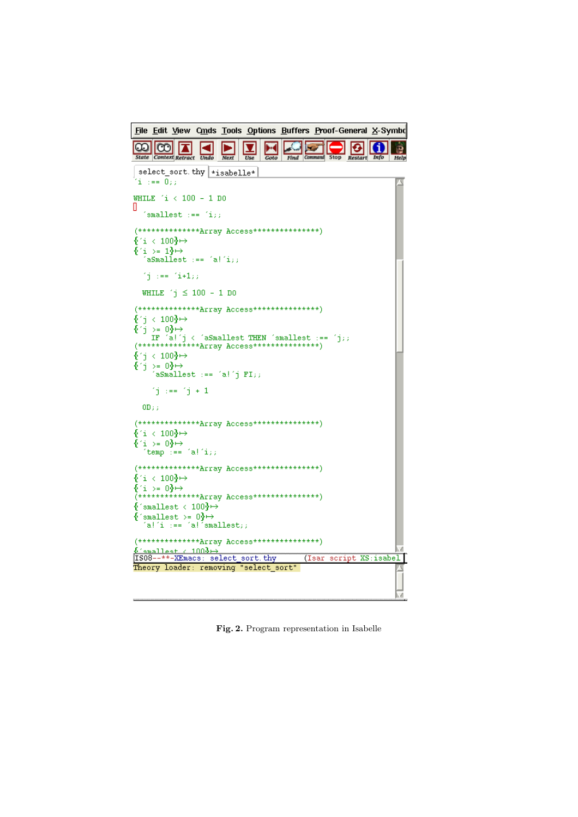```
File Edit View Cmds Tools Options Buffers Proof-General X-Symbo
                                                       \boxed{\phantom{1}}Coto Find Command Stop
\boxed{\circ} \boxed{\circ} \boxed{\circ}国
                                             [≂
                                                                                                              |{\bf \Theta}| \bf{0}-19
                                 Tudo
 State Context Retract
  select_sort.thy *isabelle*
 (i_{1}) == \overline{0}_{i};
WHILE i \times 100 - 1 DO
\blacksquare\lceil smallest \lceil \text{++} \rceil \lceil \text{`i} \rceil ;
\hat{\mathbf{Y}}i < 100}\mapsto\{a: z \geq 1\} \mapsto'aSmallest ::= 'a['i];(i) := (i+1);WHILE 'j \leq 100 - 1 DO
(**************Array Access*****************)\{^{\prime}\}\in100\} \mapsto{ \begin{aligned} & \left\{ \begin{array}{ll} \gamma &> 100 \end{array} \right\} \cdot \gamma \\ & \text{IF} \quad \text{if} \quad \gamma &< \text{aSmallest THEN 'smallest := 'j}; \\ & & (\text{********} \text{Atr}) \\ & & \text{if} \quad \gamma &< \text{aSmallest } \gamma \\ & & \text{if} \quad \gamma &< \gamma \end{aligned}\hat{\mathbf{Y}}j < 100}\mapsto{y \choose j} = 0 + \rightarrow<br>
{s} = 0 + \rightarrow<br>
{s} = {s} + {s} = {s} + {s} + {r} + {r}'j := j = 'j + 1\texttt{OD}_{\mathcal{F},\mathcal{F}}(************Array Access********************)\frac{1}{2} i < 100 →
\begin{array}{l} {\left\{ \begin{array}{ll} \left\langle \begin{array}{ll} \bullet \\ \end{array} \right\rangle = \begin{array}{ll} 0 \end{array} \right\} \mapsto }\\ \left\langle \begin{array}{ll} \text{temp} \end{array} \right\rangle := \left\langle \begin{array}{ll} \text{a} \end{array} \right\rangle \left\langle \begin{array}{ll} \text{i} \end{array} \right\rangle \end{array} \end{array}(*************Array Access*****************)\{i : 100\} \mapsto\{ smallest < 100}\mapsto\{\text{`smallest} > = 0\} \mapsto \text{`al'aini} = \text{`al'smallest};(*************************************)A smallest 1003. The Contract of the Magnetic Library<br>[ISO8--**-XEmacs: select_sort.thy<br>Theory loader: removing "select_sort"
                                                                                       (Isar script XS: isabel]
                                                                                                                                       M
```
Fig. 2. Program representation in Isabelle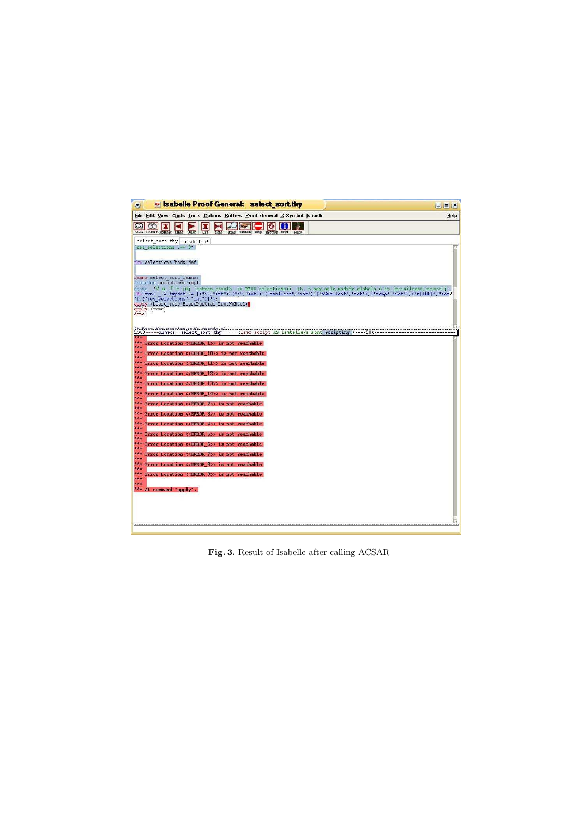| <b>Exclude Island Proof General: select sort.thy</b><br>$\bullet$                                                                                                                                                                                                                                                                                                         | $\blacksquare$ $\blacksquare$ $\blacksquare$ |
|---------------------------------------------------------------------------------------------------------------------------------------------------------------------------------------------------------------------------------------------------------------------------------------------------------------------------------------------------------------------------|----------------------------------------------|
| File Edit View Cmds Tools Options Buffers Proof-General X-Symbol Isabelle                                                                                                                                                                                                                                                                                                 | Help                                         |
| <b>CO</b><br>n i<br>ထ<br>$\bullet$<br>ie.<br>$\mathbf{K}$<br>State Context Retract Undo<br>Use<br>Find Comment Stop<br>Next<br>Restart Info<br>Goto<br>Help                                                                                                                                                                                                               |                                              |
| select_sort.thy *isabelle*<br>res selections :== 0"                                                                                                                                                                                                                                                                                                                       |                                              |
|                                                                                                                                                                                                                                                                                                                                                                           |                                              |
| thm selections body def                                                                                                                                                                                                                                                                                                                                                   |                                              |
| lemma select sort lemma:<br>includes selections impl                                                                                                                                                                                                                                                                                                                      |                                              |
| shows "V G. $\Gamma$ + (G) 'return result :== PROC selections() (t. t may only modify globals G in [privileged exists]}"<br>M.(*val = typdef := [("i","int"),("j","int"),("smallest","int"),("aSmallest","int"),("temp","int"),("a[100]","int2<br>"), ("res selections", "int") $\vert * \rangle$ ;<br>apply (hoare rule HoarePartial ProcNoRec1)<br>apply (swmc)<br>done |                                              |
|                                                                                                                                                                                                                                                                                                                                                                           |                                              |
| Lt Hana<br>فمحمقت والمنجم يتمصم ومعمسه والمال<br>IS08-----XEmacs; select sort.thy<br>(Isar script XS: isabelle/s Font Scripting )----50%--                                                                                                                                                                                                                                |                                              |
| ***<br>*** Error Location < <error 1="">&gt; is not reachable</error>                                                                                                                                                                                                                                                                                                     |                                              |
| ***<br>***<br>Error Location < <error_10>&gt; is not reachable<br/>***</error_10>                                                                                                                                                                                                                                                                                         |                                              |
| ***<br>Error Location < <error 11="">&gt; is not reachable<br/>***</error>                                                                                                                                                                                                                                                                                                |                                              |
| ***<br>Error Location < <error 12="">&gt; is not reachable<br/>***</error>                                                                                                                                                                                                                                                                                                |                                              |
| ***<br>Error Location < <error 13="">&gt; is not reachable<br/>***</error>                                                                                                                                                                                                                                                                                                |                                              |
| ***<br>Error Location < <error 14="">&gt; is not reachable<br/>***</error>                                                                                                                                                                                                                                                                                                |                                              |
| ***<br>Error Location < <error 2="">&gt; is not reachable<br/>***</error>                                                                                                                                                                                                                                                                                                 |                                              |
| ***<br>Error Location < <error 3="">&gt; is not reachable<br/>***<br/>***</error>                                                                                                                                                                                                                                                                                         |                                              |
| Error Location < <error 4="">&gt; is not reachable<br/>***<br/>***<br/>Error Location &lt;<error 5="">&gt; is not reachable</error></error>                                                                                                                                                                                                                               |                                              |
| ***<br>***<br>Error Location < <error 6="">&gt; is not reachable</error>                                                                                                                                                                                                                                                                                                  |                                              |
| ***<br>***<br>Error Location < <error 7="">&gt; is not reachable</error>                                                                                                                                                                                                                                                                                                  |                                              |
| ***<br>***<br>Error Location < <error 8="">&gt; is not reachable</error>                                                                                                                                                                                                                                                                                                  |                                              |
| ***<br>***<br>Error Location < <error 9="">&gt; is not reachable</error>                                                                                                                                                                                                                                                                                                  |                                              |
| ***<br>***                                                                                                                                                                                                                                                                                                                                                                |                                              |
| *** At command "apply".                                                                                                                                                                                                                                                                                                                                                   |                                              |
|                                                                                                                                                                                                                                                                                                                                                                           |                                              |
|                                                                                                                                                                                                                                                                                                                                                                           |                                              |
|                                                                                                                                                                                                                                                                                                                                                                           |                                              |

Fig. 3. Result of Isabelle after calling ACSAR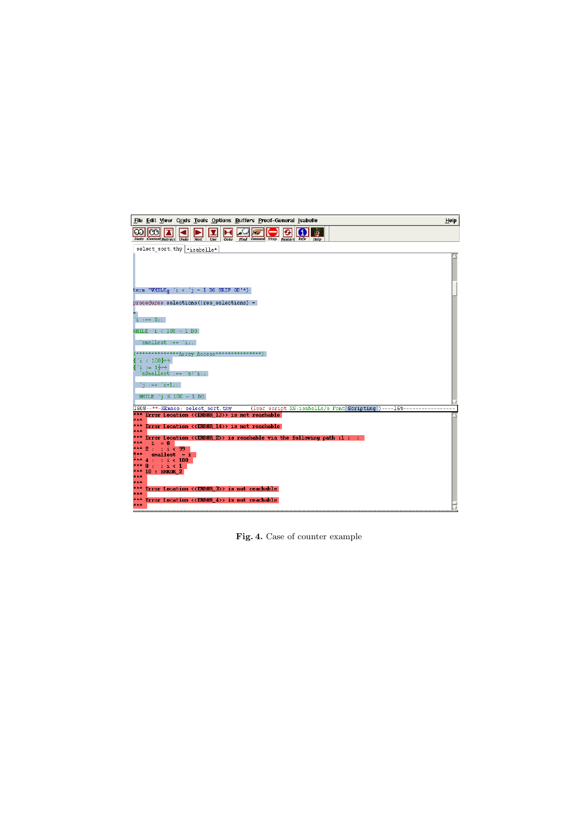

Fig. 4. Case of counter example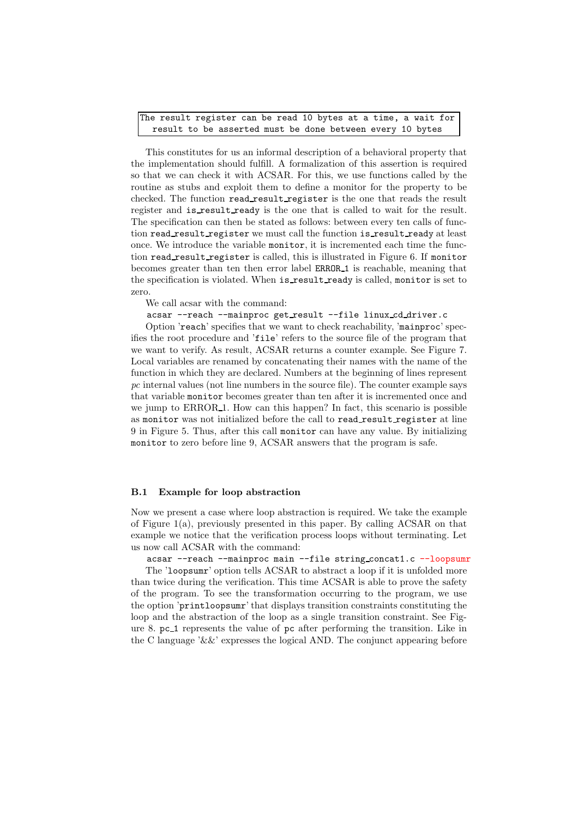### The result register can be read 10 bytes at a time, a wait for result to be asserted must be done between every 10 bytes

This constitutes for us an informal description of a behavioral property that the implementation should fulfill. A formalization of this assertion is required so that we can check it with ACSAR. For this, we use functions called by the routine as stubs and exploit them to define a monitor for the property to be checked. The function read result register is the one that reads the result register and is result ready is the one that is called to wait for the result. The specification can then be stated as follows: between every ten calls of function read result register we must call the function is result ready at least once. We introduce the variable monitor, it is incremented each time the function read result register is called, this is illustrated in Figure 6. If monitor becomes greater than ten then error label ERROR 1 is reachable, meaning that the specification is violated. When is result ready is called, monitor is set to zero.

We call acsar with the command:

acsar --reach --mainproc get result --file linux cd driver.c

Option 'reach' specifies that we want to check reachability, 'mainproc' specifies the root procedure and 'file' refers to the source file of the program that we want to verify. As result, ACSAR returns a counter example. See Figure 7. Local variables are renamed by concatenating their names with the name of the function in which they are declared. Numbers at the beginning of lines represent pc internal values (not line numbers in the source file). The counter example says that variable monitor becomes greater than ten after it is incremented once and we jump to ERROR<sub>1</sub>. How can this happen? In fact, this scenario is possible as monitor was not initialized before the call to read\_result\_register at line 9 in Figure 5. Thus, after this call monitor can have any value. By initializing monitor to zero before line 9, ACSAR answers that the program is safe.

### B.1 Example for loop abstraction

Now we present a case where loop abstraction is required. We take the example of Figure 1(a), previously presented in this paper. By calling ACSAR on that example we notice that the verification process loops without terminating. Let us now call ACSAR with the command:

acsar --reach --mainproc main --file string\_concat1.c --loopsumr

The 'loopsumr' option tells ACSAR to abstract a loop if it is unfolded more than twice during the verification. This time ACSAR is able to prove the safety of the program. To see the transformation occurring to the program, we use the option 'printloopsumr' that displays transition constraints constituting the loop and the abstraction of the loop as a single transition constraint. See Figure 8. pc 1 represents the value of pc after performing the transition. Like in the C language  $\&&$  expresses the logical AND. The conjunct appearing before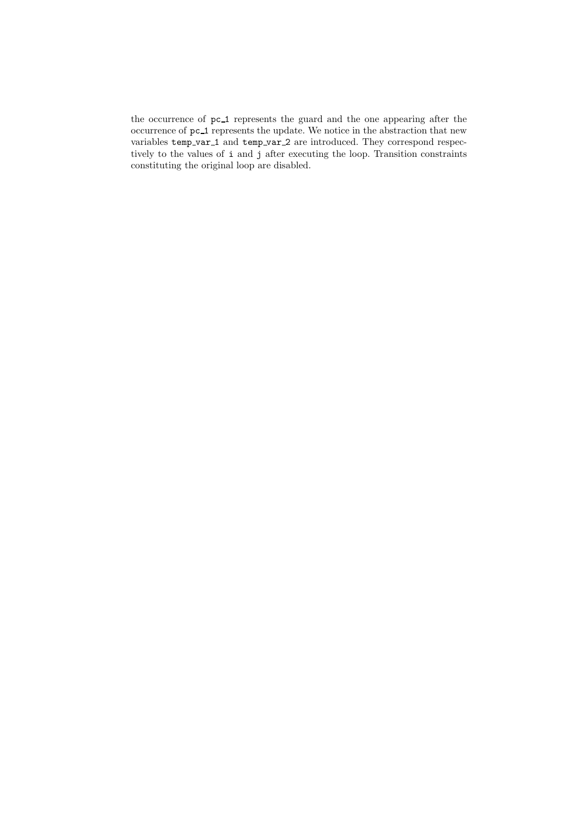the occurrence of  $pc_1$  represents the guard and the one appearing after the occurrence of  $\verb|pc_1$  represents the update. We notice in the abstraction that new variables temp\_var\_1 and temp\_var\_2 are introduced. They correspond respectively to the values of i and j after executing the loop. Transition constraints constituting the original loop are disabled.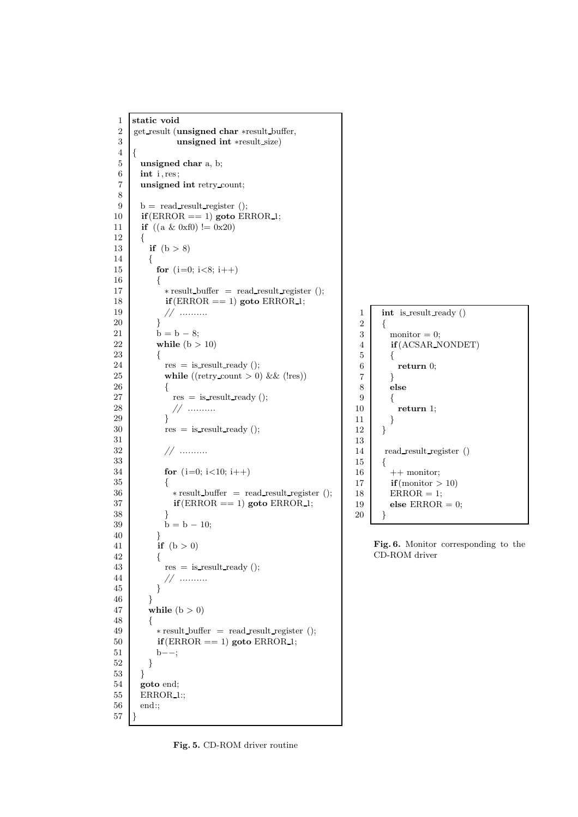```
1 static void
2 get result (unsigned char ∗result buffer,
3 unsigned int ∗result size)
4 {
5 unsigned char a, b;
6 int i, res;
7 unsigned int retry count;
8
9 b = read\_result\_register();
10 if (ERROR == 1) goto ERROR 1;
11 if ((a \& 0 \text{xf0}) := 0 \text{x}20)12 {
13 if (b > 8)14 {
15 for (i=0; i<8; i++)
16 {
17 ∗ result buffer = read result register ();
18 if \text{ERROR} == 1) goto ERROR_1;
19 // ...........
20 }
21 b = b – 8;<br>22 while (b >
         while (b > 10)\begin{array}{ccc} 23 & \quad & \{ \\ 24 & \quad & \end{array}24 res = is result ready ();<br>25 while ((retry count > 0)
           while ((retry count > 0) && (!res))
26 {
27 res = is result ready ();
\begin{array}{c|c} 28 \\ 29 \end{array} // ...........
29 }
30 \text{ res} = \text{is} \text{ result} \text{ ready} ();
31
32 // ..........
\frac{33}{34}for (i=0; i<10; i++)35 {
36 ∗ result_buffer = read_result_register ();
37 if (ERROR == 1) goto ERROR 1;
38 }
39 \quad b = b - 10;40 }
41 if (b > 0)42 {
43 res = is result ready();44 // ..........
45 }
46 }
47 while (b > 0)48 {
49 ∗ result buffer = read result register ();
50 if (ERROR == 1) goto ERROR<sub>1</sub>;
51 b−−;
52 }
53 }
54 goto end;
55 ERROR 1:;
56 end:;
57 }
```

```
1 int is result ready ()
 2 {
 3 \sim monitor = 0;
 4 if (ACSAR NONDET)
 5 {
 \begin{array}{c|c}\n6 & \text{return } 0; \\
7 & \text{}\n\end{array}7 }
 \begin{array}{c|c}\n8 & \text{else} \\
9 & 4\n\end{array}\begin{array}{c|c} 9 \\ 10 \end{array} {
                return 1;
11 }
12 \mid \}13
14 read result register ()
15 {
\begin{array}{c|c}\n 16 & ++ \text{ monitor;} \\
 17 & \text{if (monitor >)}\n \end{array}17 if (monitor > 10)<br>18 ERROR = 1;
             ERROR = 1;19 else ERROR = 0;
20 }
```
Fig. 6. Monitor corresponding to the CD-ROM driver

Fig. 5. CD-ROM driver routine